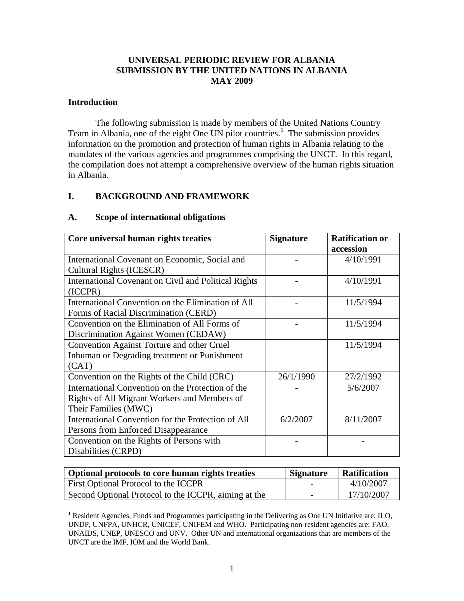## **UNIVERSAL PERIODIC REVIEW FOR ALBANIA SUBMISSION BY THE UNITED NATIONS IN ALBANIA MAY 2009**

### **Introduction**

 $\overline{a}$ 

The following submission is made by members of the United Nations Country Team in Albania, one of the eight One UN pilot countries.<sup>[1](#page-0-0)</sup> The submission provides information on the promotion and protection of human rights in Albania relating to the mandates of the various agencies and programmes comprising the UNCT. In this regard, the compilation does not attempt a comprehensive overview of the human rights situation in Albania.

## **I. BACKGROUND AND FRAMEWORK**

| Core universal human rights treaties                                                                                      | <b>Signature</b> | <b>Ratification or</b><br>accession |
|---------------------------------------------------------------------------------------------------------------------------|------------------|-------------------------------------|
| International Covenant on Economic, Social and<br>Cultural Rights (ICESCR)                                                |                  | 4/10/1991                           |
| International Covenant on Civil and Political Rights<br>(ICCPR)                                                           |                  | 4/10/1991                           |
| International Convention on the Elimination of All<br>Forms of Racial Discrimination (CERD)                               |                  | 11/5/1994                           |
| Convention on the Elimination of All Forms of<br>Discrimination Against Women (CEDAW)                                     |                  | 11/5/1994                           |
| <b>Convention Against Torture and other Cruel</b><br>Inhuman or Degrading treatment or Punishment<br>(CAT)                |                  | 11/5/1994                           |
| Convention on the Rights of the Child (CRC)                                                                               | 26/1/1990        | 27/2/1992                           |
| International Convention on the Protection of the<br>Rights of All Migrant Workers and Members of<br>Their Families (MWC) |                  | 5/6/2007                            |
| International Convention for the Protection of All<br>Persons from Enforced Disappearance                                 | 6/2/2007         | 8/11/2007                           |
| Convention on the Rights of Persons with<br>Disabilities (CRPD)                                                           |                  |                                     |

#### **A. Scope of international obligations**

| Optional protocols to core human rights treaties     | <b>Signature</b>         | Ratification |
|------------------------------------------------------|--------------------------|--------------|
| First Optional Protocol to the ICCPR                 |                          | 4/10/2007    |
| Second Optional Protocol to the ICCPR, aiming at the | $\overline{\phantom{0}}$ | 17/10/2007   |

<span id="page-0-0"></span><sup>&</sup>lt;sup>1</sup> Resident Agencies, Funds and Programmes participating in the Delivering as One UN Initiative are: ILO, UNDP, UNFPA, UNHCR, UNICEF, UNIFEM and WHO. Participating non-resident agencies are: FAO, UNAIDS, UNEP, UNESCO and UNV. Other UN and international organizations that are members of the UNCT are the IMF, IOM and the World Bank.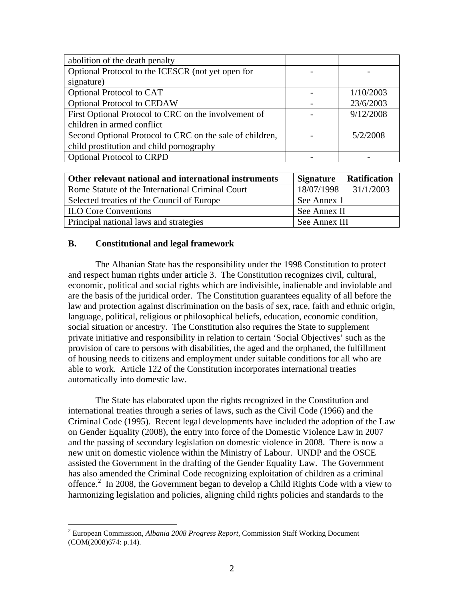| abolition of the death penalty                           |           |
|----------------------------------------------------------|-----------|
| Optional Protocol to the ICESCR (not yet open for        |           |
| signature)                                               |           |
| Optional Protocol to CAT                                 | 1/10/2003 |
| <b>Optional Protocol to CEDAW</b>                        | 23/6/2003 |
| First Optional Protocol to CRC on the involvement of     | 9/12/2008 |
| children in armed conflict                               |           |
| Second Optional Protocol to CRC on the sale of children, | 5/2/2008  |
| child prostitution and child pornography                 |           |
| <b>Optional Protocol to CRPD</b>                         |           |

| Other relevant national and international instruments | <b>Signature</b> | <b>Ratification</b> |
|-------------------------------------------------------|------------------|---------------------|
| Rome Statute of the International Criminal Court      | 18/07/1998       | 31/1/2003           |
| Selected treaties of the Council of Europe            | See Annex 1      |                     |
| <b>ILO Core Conventions</b>                           | See Annex II     |                     |
| Principal national laws and strategies                | See Annex III    |                     |

## **B. Constitutional and legal framework**

 $\overline{a}$ 

The Albanian State has the responsibility under the 1998 Constitution to protect and respect human rights under article 3. The Constitution recognizes civil, cultural, economic, political and social rights which are indivisible, inalienable and inviolable and are the basis of the juridical order. The Constitution guarantees equality of all before the law and protection against discrimination on the basis of sex, race, faith and ethnic origin, language, political, religious or philosophical beliefs, education, economic condition, social situation or ancestry. The Constitution also requires the State to supplement private initiative and responsibility in relation to certain 'Social Objectives' such as the provision of care to persons with disabilities, the aged and the orphaned, the fulfillment of housing needs to citizens and employment under suitable conditions for all who are able to work. Article 122 of the Constitution incorporates international treaties automatically into domestic law.

 The State has elaborated upon the rights recognized in the Constitution and international treaties through a series of laws, such as the Civil Code (1966) and the Criminal Code (1995). Recent legal developments have included the adoption of the Law on Gender Equality (2008), the entry into force of the Domestic Violence Law in 2007 and the passing of secondary legislation on domestic violence in 2008. There is now a new unit on domestic violence within the Ministry of Labour. UNDP and the OSCE assisted the Government in the drafting of the Gender Equality Law. The Government has also amended the Criminal Code recognizing exploitation of children as a criminal offence.<sup>[2](#page-1-0)</sup> In 2008, the Government began to develop a Child Rights Code with a view to harmonizing legislation and policies, aligning child rights policies and standards to the

<span id="page-1-0"></span><sup>2</sup> European Commission, *Albania 2008 Progress Report*, Commission Staff Working Document (COM(2008)674: p.14).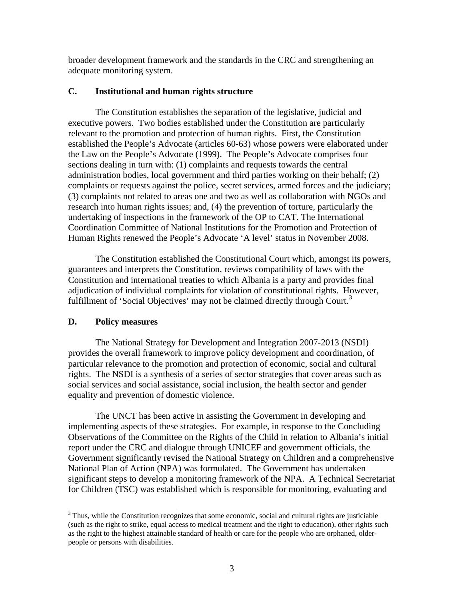broader development framework and the standards in the CRC and strengthening an adequate monitoring system.

## **C. Institutional and human rights structure**

 The Constitution establishes the separation of the legislative, judicial and executive powers. Two bodies established under the Constitution are particularly relevant to the promotion and protection of human rights. First, the Constitution established the People's Advocate (articles 60-63) whose powers were elaborated under the Law on the People's Advocate (1999). The People's Advocate comprises four sections dealing in turn with: (1) complaints and requests towards the central administration bodies, local government and third parties working on their behalf; (2) complaints or requests against the police, secret services, armed forces and the judiciary; (3) complaints not related to areas one and two as well as collaboration with NGOs and research into human rights issues; and, (4) the prevention of torture, particularly the undertaking of inspections in the framework of the OP to CAT. The International Coordination Committee of National Institutions for the Promotion and Protection of Human Rights renewed the People's Advocate 'A level' status in November 2008.

The Constitution established the Constitutional Court which, amongst its powers, guarantees and interprets the Constitution, reviews compatibility of laws with the Constitution and international treaties to which Albania is a party and provides final adjudication of individual complaints for violation of constitutional rights. However, fulfillment of 'Social Objectives' may not be claimed directly through Court.<sup>[3](#page-2-0)</sup>

# **D. Policy measures**

 $\overline{a}$ 

The National Strategy for Development and Integration 2007-2013 (NSDI) provides the overall framework to improve policy development and coordination, of particular relevance to the promotion and protection of economic, social and cultural rights. The NSDI is a synthesis of a series of sector strategies that cover areas such as social services and social assistance, social inclusion, the health sector and gender equality and prevention of domestic violence.

The UNCT has been active in assisting the Government in developing and implementing aspects of these strategies. For example, in response to the Concluding Observations of the Committee on the Rights of the Child in relation to Albania's initial report under the CRC and dialogue through UNICEF and government officials, the Government significantly revised the National Strategy on Children and a comprehensive National Plan of Action (NPA) was formulated. The Government has undertaken significant steps to develop a monitoring framework of the NPA. A Technical Secretariat for Children (TSC) was established which is responsible for monitoring, evaluating and

<span id="page-2-0"></span> $3$  Thus, while the Constitution recognizes that some economic, social and cultural rights are justiciable (such as the right to strike, equal access to medical treatment and the right to education), other rights such as the right to the highest attainable standard of health or care for the people who are orphaned, olderpeople or persons with disabilities.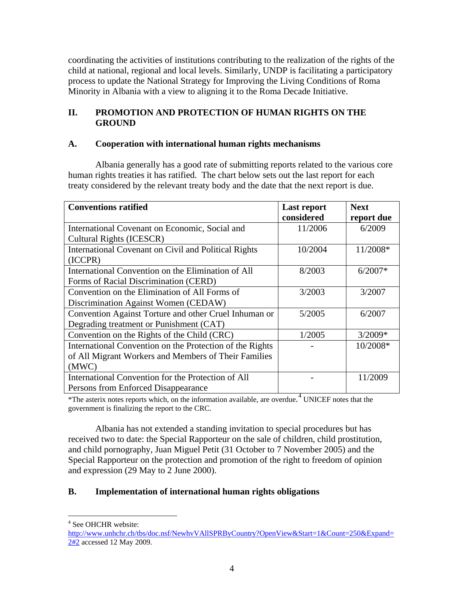coordinating the activities of institutions contributing to the realization of the rights of the child at national, regional and local levels. Similarly, UNDP is facilitating a participatory process to update the National Strategy for Improving the Living Conditions of Roma Minority in Albania with a view to aligning it to the Roma Decade Initiative.

# **II. PROMOTION AND PROTECTION OF HUMAN RIGHTS ON THE GROUND**

## **A. Cooperation with international human rights mechanisms**

 Albania generally has a good rate of submitting reports related to the various core human rights treaties it has ratified. The chart below sets out the last report for each treaty considered by the relevant treaty body and the date that the next report is due.

| <b>Conventions ratified</b>                              | Last report | <b>Next</b> |
|----------------------------------------------------------|-------------|-------------|
|                                                          | considered  | report due  |
| International Covenant on Economic, Social and           | 11/2006     | 6/2009      |
| <b>Cultural Rights (ICESCR)</b>                          |             |             |
| International Covenant on Civil and Political Rights     | 10/2004     | 11/2008*    |
| (ICCPR)                                                  |             |             |
| International Convention on the Elimination of All       | 8/2003      | $6/2007*$   |
| Forms of Racial Discrimination (CERD)                    |             |             |
| Convention on the Elimination of All Forms of            | 3/2003      | 3/2007      |
| Discrimination Against Women (CEDAW)                     |             |             |
| Convention Against Torture and other Cruel Inhuman or    | 5/2005      | 6/2007      |
| Degrading treatment or Punishment (CAT)                  |             |             |
| Convention on the Rights of the Child (CRC)              | 1/2005      | $3/2009*$   |
| International Convention on the Protection of the Rights |             | 10/2008*    |
| of All Migrant Workers and Members of Their Families     |             |             |
| (MWC)                                                    |             |             |
| International Convention for the Protection of All       |             | 11/2009     |
| Persons from Enforced Disappearance                      |             |             |

\*The asterix notes reports which, on the information available, are overdue. [4](#page-3-0) UNICEF notes that the government is finalizing the report to the CRC.

Albania has not extended a standing invitation to special procedures but has received two to date: the Special Rapporteur on the sale of children, child prostitution, and child pornography, Juan Miguel Petit (31 October to 7 November 2005) and the Special Rapporteur on the protection and promotion of the right to freedom of opinion and expression (29 May to 2 June 2000).

# **B. Implementation of international human rights obligations**

 $\overline{a}$ 4 See OHCHR website:

<span id="page-3-0"></span>http://www.unhchr.ch/tbs/doc.nsf/NewhvVAllSPRByCountry?OpenView&Start=1&Count=250&Expand= 2<sup>#2</sup> accessed 12 May 2009.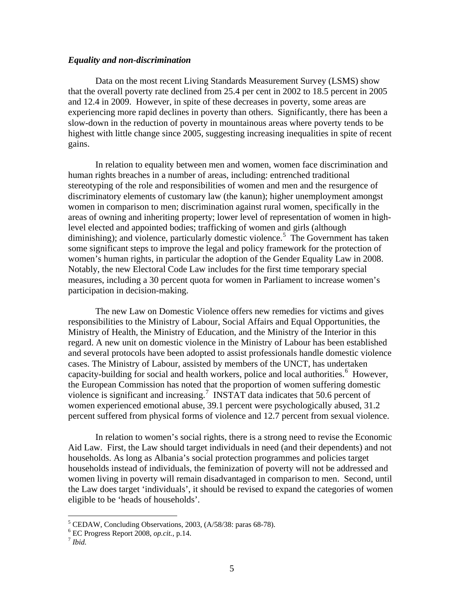#### *Equality and non-discrimination*

 Data on the most recent Living Standards Measurement Survey (LSMS) show that the overall poverty rate declined from 25.4 per cent in 2002 to 18.5 percent in 2005 and 12.4 in 2009. However, in spite of these decreases in poverty, some areas are experiencing more rapid declines in poverty than others. Significantly, there has been a slow-down in the reduction of poverty in mountainous areas where poverty tends to be highest with little change since 2005, suggesting increasing inequalities in spite of recent gains.

In relation to equality between men and women, women face discrimination and human rights breaches in a number of areas, including: entrenched traditional stereotyping of the role and responsibilities of women and men and the resurgence of discriminatory elements of customary law (the kanun); higher unemployment amongst women in comparison to men; discrimination against rural women, specifically in the areas of owning and inheriting property; lower level of representation of women in highlevel elected and appointed bodies; trafficking of women and girls (although diminishing); and violence, particularly domestic violence.<sup>[5](#page-4-0)</sup> The Government has taken some significant steps to improve the legal and policy framework for the protection of women's human rights, in particular the adoption of the Gender Equality Law in 2008. Notably, the new Electoral Code Law includes for the first time temporary special measures, including a 30 percent quota for women in Parliament to increase women's participation in decision-making.

The new Law on Domestic Violence offers new remedies for victims and gives responsibilities to the Ministry of Labour, Social Affairs and Equal Opportunities, the Ministry of Health, the Ministry of Education, and the Ministry of the Interior in this regard. A new unit on domestic violence in the Ministry of Labour has been established and several protocols have been adopted to assist professionals handle domestic violence cases. The Ministry of Labour, assisted by members of the UNCT, has undertaken capacity-building for social and health workers, police and local authorities.<sup>[6](#page-4-1)</sup> However, the European Commission has noted that the proportion of women suffering domestic violence is significant and increasing.<sup>[7](#page-4-2)</sup> INSTAT data indicates that 50.6 percent of women experienced emotional abuse, 39.1 percent were psychologically abused, 31.2 percent suffered from physical forms of violence and 12.7 percent from sexual violence.

In relation to women's social rights, there is a strong need to revise the Economic Aid Law. First, the Law should target individuals in need (and their dependents) and not households. As long as Albania's social protection programmes and policies target households instead of individuals, the feminization of poverty will not be addressed and women living in poverty will remain disadvantaged in comparison to men. Second, until the Law does target 'individuals', it should be revised to expand the categories of women eligible to be 'heads of households'.

<span id="page-4-0"></span><sup>&</sup>lt;sup>5</sup> CEDAW, Concluding Observations, 2003, (A/58/38: paras 68-78).

<span id="page-4-1"></span><sup>6</sup> EC Progress Report 2008, *op.cit.*, p.14. 7 *Ibid.* 

<span id="page-4-2"></span>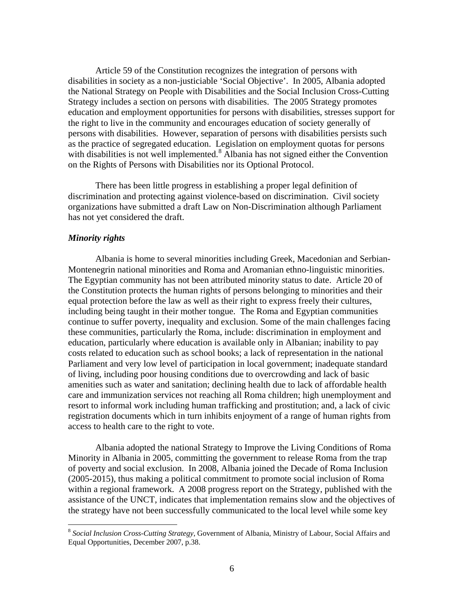Article 59 of the Constitution recognizes the integration of persons with disabilities in society as a non-justiciable 'Social Objective'. In 2005, Albania adopted the National Strategy on People with Disabilities and the Social Inclusion Cross-Cutting Strategy includes a section on persons with disabilities. The 2005 Strategy promotes education and employment opportunities for persons with disabilities, stresses support for the right to live in the community and encourages education of society generally of persons with disabilities. However, separation of persons with disabilities persists such as the practice of segregated education. Legislation on employment quotas for persons with disabilities is not well implemented.<sup>[8](#page-5-0)</sup> Albania has not signed either the Convention on the Rights of Persons with Disabilities nor its Optional Protocol.

 There has been little progress in establishing a proper legal definition of discrimination and protecting against violence-based on discrimination. Civil society organizations have submitted a draft Law on Non-Discrimination although Parliament has not yet considered the draft.

#### *Minority rights*

 $\overline{a}$ 

 Albania is home to several minorities including Greek, Macedonian and Serbian-Montenegrin national minorities and Roma and Aromanian ethno-linguistic minorities. The Egyptian community has not been attributed minority status to date. Article 20 of the Constitution protects the human rights of persons belonging to minorities and their equal protection before the law as well as their right to express freely their cultures, including being taught in their mother tongue. The Roma and Egyptian communities continue to suffer poverty, inequality and exclusion. Some of the main challenges facing these communities, particularly the Roma, include: discrimination in employment and education, particularly where education is available only in Albanian; inability to pay costs related to education such as school books; a lack of representation in the national Parliament and very low level of participation in local government; inadequate standard of living, including poor housing conditions due to overcrowding and lack of basic amenities such as water and sanitation; declining health due to lack of affordable health care and immunization services not reaching all Roma children; high unemployment and resort to informal work including human trafficking and prostitution; and, a lack of civic registration documents which in turn inhibits enjoyment of a range of human rights from access to health care to the right to vote.

 Albania adopted the national Strategy to Improve the Living Conditions of Roma Minority in Albania in 2005, committing the government to release Roma from the trap of poverty and social exclusion. In 2008, Albania joined the Decade of Roma Inclusion (2005-2015), thus making a political commitment to promote social inclusion of Roma within a regional framework. A 2008 progress report on the Strategy, published with the assistance of the UNCT, indicates that implementation remains slow and the objectives of the strategy have not been successfully communicated to the local level while some key

<span id="page-5-0"></span><sup>8</sup> *Social Inclusion Cross-Cutting Strategy*, Government of Albania, Ministry of Labour, Social Affairs and Equal Opportunities, December 2007, p.38.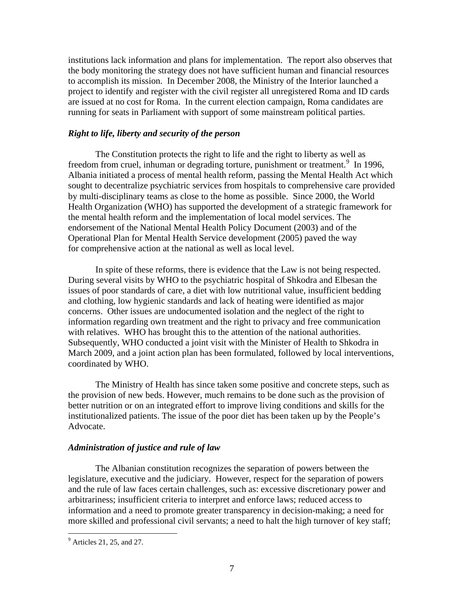institutions lack information and plans for implementation. The report also observes that the body monitoring the strategy does not have sufficient human and financial resources to accomplish its mission. In December 2008, the Ministry of the Interior launched a project to identify and register with the civil register all unregistered Roma and ID cards are issued at no cost for Roma. In the current election campaign, Roma candidates are running for seats in Parliament with support of some mainstream political parties.

#### *Right to life, liberty and security of the person*

 The Constitution protects the right to life and the right to liberty as well as freedom from cruel, inhuman or degrading torture, punishment or treatment.<sup>[9](#page-6-0)</sup> In 1996, Albania initiated a process of mental health reform, passing the Mental Health Act which sought to decentralize psychiatric services from hospitals to comprehensive care provided by multi-disciplinary teams as close to the home as possible. Since 2000, the World Health Organization (WHO) has supported the development of a strategic framework for the mental health reform and the implementation of local model services. The endorsement of the National Mental Health Policy Document (2003) and of the Operational Plan for Mental Health Service development (2005) paved the way for comprehensive action at the national as well as local level.

In spite of these reforms, there is evidence that the Law is not being respected. During several visits by WHO to the psychiatric hospital of Shkodra and Elbesan the issues of poor standards of care, a diet with low nutritional value, insufficient bedding and clothing, low hygienic standards and lack of heating were identified as major concerns. Other issues are undocumented isolation and the neglect of the right to information regarding own treatment and the right to privacy and free communication with relatives. WHO has brought this to the attention of the national authorities. Subsequently, WHO conducted a joint visit with the Minister of Health to Shkodra in March 2009, and a joint action plan has been formulated, followed by local interventions, coordinated by WHO.

The Ministry of Health has since taken some positive and concrete steps, such as the provision of new beds. However, much remains to be done such as the provision of better nutrition or on an integrated effort to improve living conditions and skills for the institutionalized patients. The issue of the poor diet has been taken up by the People's Advocate.

#### *Administration of justice and rule of law*

 The Albanian constitution recognizes the separation of powers between the legislature, executive and the judiciary. However, respect for the separation of powers and the rule of law faces certain challenges, such as: excessive discretionary power and arbitrariness; insufficient criteria to interpret and enforce laws; reduced access to information and a need to promote greater transparency in decision-making; a need for more skilled and professional civil servants; a need to halt the high turnover of key staff;

<span id="page-6-0"></span><sup>&</sup>lt;sup>9</sup> Articles 21, 25, and 27.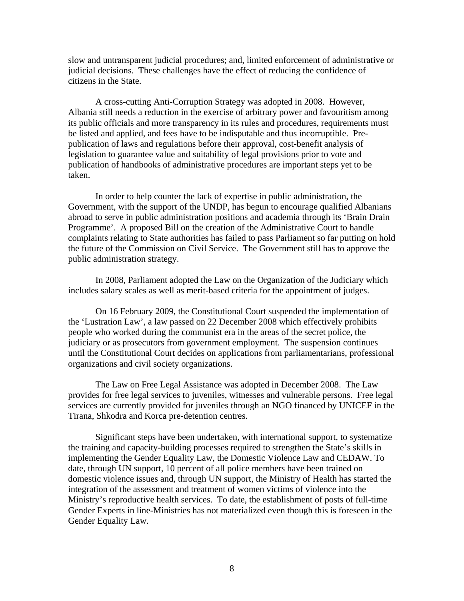slow and untransparent judicial procedures; and, limited enforcement of administrative or judicial decisions. These challenges have the effect of reducing the confidence of citizens in the State.

 A cross-cutting Anti-Corruption Strategy was adopted in 2008. However, Albania still needs a reduction in the exercise of arbitrary power and favouritism among its public officials and more transparency in its rules and procedures, requirements must be listed and applied, and fees have to be indisputable and thus incorruptible. Prepublication of laws and regulations before their approval, cost-benefit analysis of legislation to guarantee value and suitability of legal provisions prior to vote and publication of handbooks of administrative procedures are important steps yet to be taken.

In order to help counter the lack of expertise in public administration, the Government, with the support of the UNDP, has begun to encourage qualified Albanians abroad to serve in public administration positions and academia through its 'Brain Drain Programme'. A proposed Bill on the creation of the Administrative Court to handle complaints relating to State authorities has failed to pass Parliament so far putting on hold the future of the Commission on Civil Service. The Government still has to approve the public administration strategy.

In 2008, Parliament adopted the Law on the Organization of the Judiciary which includes salary scales as well as merit-based criteria for the appointment of judges.

On 16 February 2009, the Constitutional Court suspended the implementation of the 'Lustration Law', a law passed on 22 December 2008 which effectively prohibits people who worked during the communist era in the areas of the secret police, the judiciary or as prosecutors from government employment. The suspension continues until the Constitutional Court decides on applications from parliamentarians, professional organizations and civil society organizations.

The Law on Free Legal Assistance was adopted in December 2008. The Law provides for free legal services to juveniles, witnesses and vulnerable persons. Free legal services are currently provided for juveniles through an NGO financed by UNICEF in the Tirana, Shkodra and Korca pre-detention centres.

 Significant steps have been undertaken, with international support, to systematize the training and capacity-building processes required to strengthen the State's skills in implementing the Gender Equality Law, the Domestic Violence Law and CEDAW. To date, through UN support, 10 percent of all police members have been trained on domestic violence issues and, through UN support, the Ministry of Health has started the integration of the assessment and treatment of women victims of violence into the Ministry's reproductive health services. To date, the establishment of posts of full-time Gender Experts in line-Ministries has not materialized even though this is foreseen in the Gender Equality Law.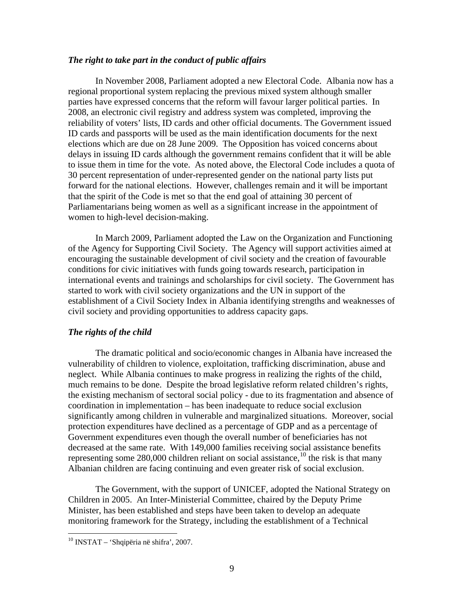#### *The right to take part in the conduct of public affairs*

In November 2008, Parliament adopted a new Electoral Code. Albania now has a regional proportional system replacing the previous mixed system although smaller parties have expressed concerns that the reform will favour larger political parties. In 2008, an electronic civil registry and address system was completed, improving the reliability of voters' lists, ID cards and other official documents. The Government issued ID cards and passports will be used as the main identification documents for the next elections which are due on 28 June 2009. The Opposition has voiced concerns about delays in issuing ID cards although the government remains confident that it will be able to issue them in time for the vote. As noted above, the Electoral Code includes a quota of 30 percent representation of under-represented gender on the national party lists put forward for the national elections. However, challenges remain and it will be important that the spirit of the Code is met so that the end goal of attaining 30 percent of Parliamentarians being women as well as a significant increase in the appointment of women to high-level decision-making.

In March 2009, Parliament adopted the Law on the Organization and Functioning of the Agency for Supporting Civil Society. The Agency will support activities aimed at encouraging the sustainable development of civil society and the creation of favourable conditions for civic initiatives with funds going towards research, participation in international events and trainings and scholarships for civil society. The Government has started to work with civil society organizations and the UN in support of the establishment of a Civil Society Index in Albania identifying strengths and weaknesses of civil society and providing opportunities to address capacity gaps.

#### *The rights of the child*

The dramatic political and socio/economic changes in Albania have increased the vulnerability of children to violence, exploitation, trafficking discrimination, abuse and neglect. While Albania continues to make progress in realizing the rights of the child, much remains to be done. Despite the broad legislative reform related children's rights, the existing mechanism of sectoral social policy - due to its fragmentation and absence of coordination in implementation – has been inadequate to reduce social exclusion significantly among children in vulnerable and marginalized situations. Moreover, social protection expenditures have declined as a percentage of GDP and as a percentage of Government expenditures even though the overall number of beneficiaries has not decreased at the same rate. With 149,000 families receiving social assistance benefits representing some 280,000 children reliant on social assistance,<sup>[1](#page-8-0)0</sup> the risk is that many Albanian children are facing continuing and even greater risk of social exclusion.

The Government, with the support of UNICEF, adopted the National Strategy on Children in 2005. An Inter-Ministerial Committee, chaired by the Deputy Prime Minister, has been established and steps have been taken to develop an adequate monitoring framework for the Strategy, including the establishment of a Technical

<span id="page-8-0"></span> $^{10}$  INSTAT – 'Shqipëria në shifra', 2007.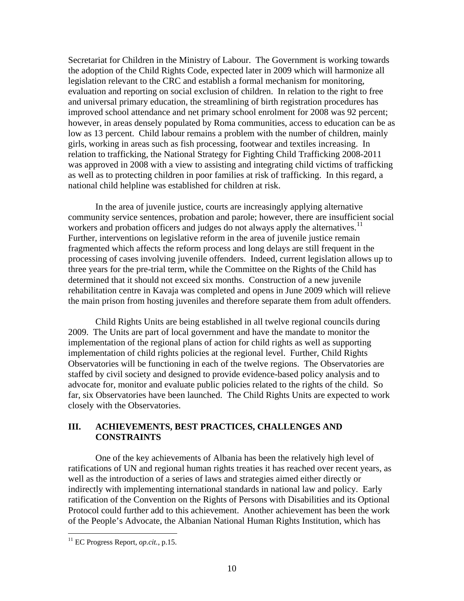Secretariat for Children in the Ministry of Labour. The Government is working towards the adoption of the Child Rights Code, expected later in 2009 which will harmonize all legislation relevant to the CRC and establish a formal mechanism for monitoring, evaluation and reporting on social exclusion of children. In relation to the right to free and universal primary education, the streamlining of birth registration procedures has improved school attendance and net primary school enrolment for 2008 was 92 percent; however, in areas densely populated by Roma communities, access to education can be as low as 13 percent. Child labour remains a problem with the number of children, mainly girls, working in areas such as fish processing, footwear and textiles increasing. In relation to trafficking, the National Strategy for Fighting Child Trafficking 2008-2011 was approved in 2008 with a view to assisting and integrating child victims of trafficking as well as to protecting children in poor families at risk of trafficking. In this regard, a national child helpline was established for children at risk.

In the area of juvenile justice, courts are increasingly applying alternative community service sentences, probation and parole; however, there are insufficient social workers and probation officers and judges do not always apply the alternatives.<sup>[1](#page-9-0)1</sup> Further, interventions on legislative reform in the area of juvenile justice remain fragmented which affects the reform process and long delays are still frequent in the processing of cases involving juvenile offenders. Indeed, current legislation allows up to three years for the pre-trial term, while the Committee on the Rights of the Child has determined that it should not exceed six months. Construction of a new juvenile rehabilitation centre in Kavaja was completed and opens in June 2009 which will relieve the main prison from hosting juveniles and therefore separate them from adult offenders.

Child Rights Units are being established in all twelve regional councils during 2009. The Units are part of local government and have the mandate to monitor the implementation of the regional plans of action for child rights as well as supporting implementation of child rights policies at the regional level. Further, Child Rights Observatories will be functioning in each of the twelve regions. The Observatories are staffed by civil society and designed to provide evidence-based policy analysis and to advocate for, monitor and evaluate public policies related to the rights of the child. So far, six Observatories have been launched. The Child Rights Units are expected to work closely with the Observatories.

## **III. ACHIEVEMENTS, BEST PRACTICES, CHALLENGES AND CONSTRAINTS**

One of the key achievements of Albania has been the relatively high level of ratifications of UN and regional human rights treaties it has reached over recent years, as well as the introduction of a series of laws and strategies aimed either directly or indirectly with implementing international standards in national law and policy. Early ratification of the Convention on the Rights of Persons with Disabilities and its Optional Protocol could further add to this achievement. Another achievement has been the work of the People's Advocate, the Albanian National Human Rights Institution, which has

<span id="page-9-0"></span><sup>11</sup> EC Progress Report, *op.cit.*, p.15.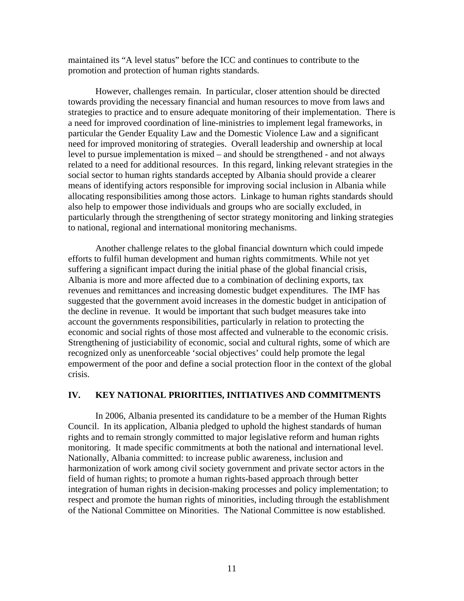maintained its "A level status" before the ICC and continues to contribute to the promotion and protection of human rights standards.

 However, challenges remain. In particular, closer attention should be directed towards providing the necessary financial and human resources to move from laws and strategies to practice and to ensure adequate monitoring of their implementation. There is a need for improved coordination of line-ministries to implement legal frameworks, in particular the Gender Equality Law and the Domestic Violence Law and a significant need for improved monitoring of strategies. Overall leadership and ownership at local level to pursue implementation is mixed – and should be strengthened - and not always related to a need for additional resources. In this regard, linking relevant strategies in the social sector to human rights standards accepted by Albania should provide a clearer means of identifying actors responsible for improving social inclusion in Albania while allocating responsibilities among those actors. Linkage to human rights standards should also help to empower those individuals and groups who are socially excluded, in particularly through the strengthening of sector strategy monitoring and linking strategies to national, regional and international monitoring mechanisms.

Another challenge relates to the global financial downturn which could impede efforts to fulfil human development and human rights commitments. While not yet suffering a significant impact during the initial phase of the global financial crisis, Albania is more and more affected due to a combination of declining exports, tax revenues and remittances and increasing domestic budget expenditures. The IMF has suggested that the government avoid increases in the domestic budget in anticipation of the decline in revenue. It would be important that such budget measures take into account the governments responsibilities, particularly in relation to protecting the economic and social rights of those most affected and vulnerable to the economic crisis. Strengthening of justiciability of economic, social and cultural rights, some of which are recognized only as unenforceable 'social objectives' could help promote the legal empowerment of the poor and define a social protection floor in the context of the global crisis.

#### **IV. KEY NATIONAL PRIORITIES, INITIATIVES AND COMMITMENTS**

 In 2006, Albania presented its candidature to be a member of the Human Rights Council. In its application, Albania pledged to uphold the highest standards of human rights and to remain strongly committed to major legislative reform and human rights monitoring. It made specific commitments at both the national and international level. Nationally, Albania committed: to increase public awareness, inclusion and harmonization of work among civil society government and private sector actors in the field of human rights; to promote a human rights-based approach through better integration of human rights in decision-making processes and policy implementation; to respect and promote the human rights of minorities, including through the establishment of the National Committee on Minorities. The National Committee is now established.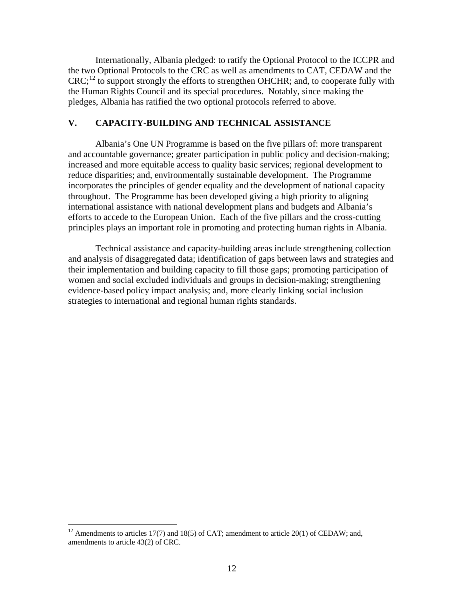Internationally, Albania pledged: to ratify the Optional Protocol to the ICCPR and the two Optional Protocols to the CRC as well as amendments to CAT, CEDAW and the  $CRC<sub>i</sub><sup>12</sup>$  $CRC<sub>i</sub><sup>12</sup>$  $CRC<sub>i</sub><sup>12</sup>$  to support strongly the efforts to strengthen OHCHR; and, to cooperate fully with the Human Rights Council and its special procedures. Notably, since making the pledges, Albania has ratified the two optional protocols referred to above.

## **V. CAPACITY-BUILDING AND TECHNICAL ASSISTANCE**

 Albania's One UN Programme is based on the five pillars of: more transparent and accountable governance; greater participation in public policy and decision-making; increased and more equitable access to quality basic services; regional development to reduce disparities; and, environmentally sustainable development. The Programme incorporates the principles of gender equality and the development of national capacity throughout. The Programme has been developed giving a high priority to aligning international assistance with national development plans and budgets and Albania's efforts to accede to the European Union. Each of the five pillars and the cross-cutting principles plays an important role in promoting and protecting human rights in Albania.

 Technical assistance and capacity-building areas include strengthening collection and analysis of disaggregated data; identification of gaps between laws and strategies and their implementation and building capacity to fill those gaps; promoting participation of women and social excluded individuals and groups in decision-making; strengthening evidence-based policy impact analysis; and, more clearly linking social inclusion strategies to international and regional human rights standards.

<span id="page-11-0"></span><sup>&</sup>lt;sup>12</sup> Amendments to articles 17(7) and 18(5) of CAT; amendment to article 20(1) of CEDAW; and, amendments to article 43(2) of CRC.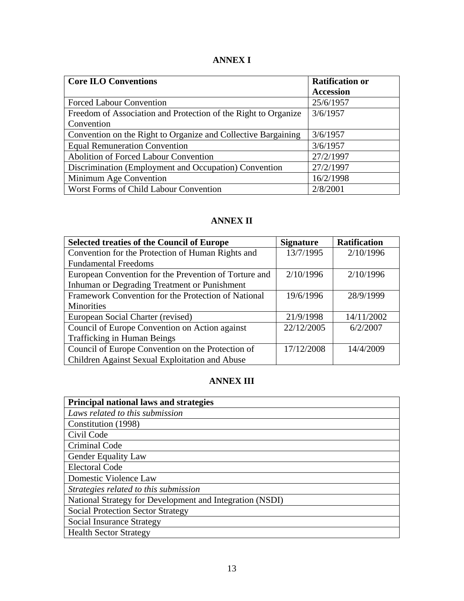# **ANNEX I**

| <b>Core ILO Conventions</b>                                    | <b>Ratification or</b> |
|----------------------------------------------------------------|------------------------|
|                                                                | <b>Accession</b>       |
| <b>Forced Labour Convention</b>                                | 25/6/1957              |
| Freedom of Association and Protection of the Right to Organize | 3/6/1957               |
| Convention                                                     |                        |
| Convention on the Right to Organize and Collective Bargaining  | 3/6/1957               |
| <b>Equal Remuneration Convention</b>                           | 3/6/1957               |
| <b>Abolition of Forced Labour Convention</b>                   | 27/2/1997              |
| Discrimination (Employment and Occupation) Convention          | 27/2/1997              |
| Minimum Age Convention                                         | 16/2/1998              |
| Worst Forms of Child Labour Convention                         | 2/8/2001               |

# **ANNEX II**

| <b>Selected treaties of the Council of Europe</b>     | <b>Signature</b> | <b>Ratification</b> |
|-------------------------------------------------------|------------------|---------------------|
| Convention for the Protection of Human Rights and     | 13/7/1995        | 2/10/1996           |
| <b>Fundamental Freedoms</b>                           |                  |                     |
| European Convention for the Prevention of Torture and | 2/10/1996        | 2/10/1996           |
| Inhuman or Degrading Treatment or Punishment          |                  |                     |
| Framework Convention for the Protection of National   | 19/6/1996        | 28/9/1999           |
| Minorities                                            |                  |                     |
| European Social Charter (revised)                     | 21/9/1998        | 14/11/2002          |
| Council of Europe Convention on Action against        | 22/12/2005       | 6/2/2007            |
| Trafficking in Human Beings                           |                  |                     |
| Council of Europe Convention on the Protection of     | 17/12/2008       | 14/4/2009           |
| Children Against Sexual Exploitation and Abuse        |                  |                     |

# **ANNEX III**

| Principal national laws and strategies                   |
|----------------------------------------------------------|
| Laws related to this submission                          |
| Constitution (1998)                                      |
| Civil Code                                               |
| Criminal Code                                            |
| <b>Gender Equality Law</b>                               |
| <b>Electoral Code</b>                                    |
| Domestic Violence Law                                    |
| Strategies related to this submission                    |
| National Strategy for Development and Integration (NSDI) |
| <b>Social Protection Sector Strategy</b>                 |
| <b>Social Insurance Strategy</b>                         |
| <b>Health Sector Strategy</b>                            |